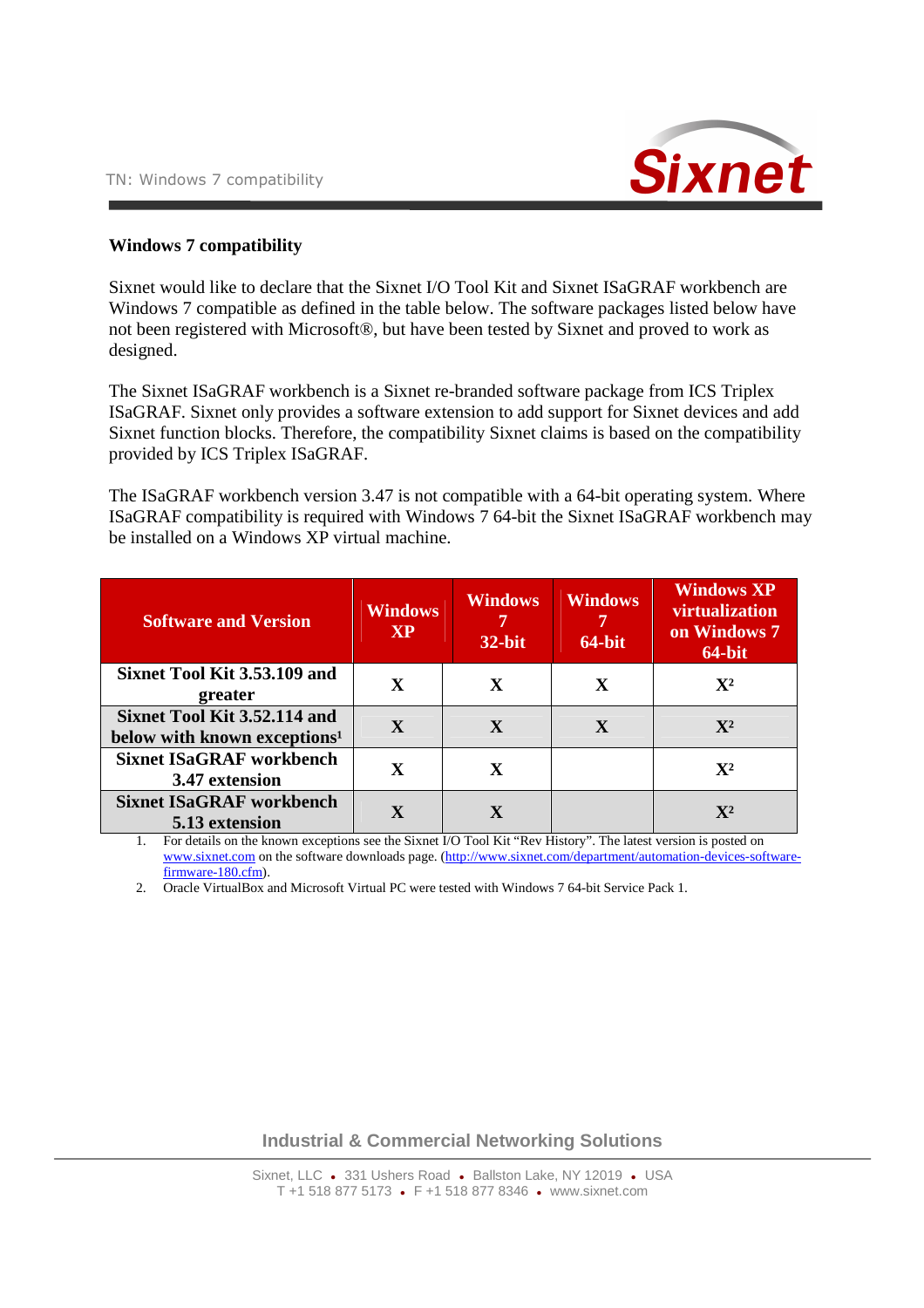

## **Windows 7 compatibility**

Sixnet would like to declare that the Sixnet I/O Tool Kit and Sixnet ISaGRAF workbench are Windows 7 compatible as defined in the table below. The software packages listed below have not been registered with Microsoft®, but have been tested by Sixnet and proved to work as designed.

The Sixnet ISaGRAF workbench is a Sixnet re-branded software package from ICS Triplex ISaGRAF. Sixnet only provides a software extension to add support for Sixnet devices and add Sixnet function blocks. Therefore, the compatibility Sixnet claims is based on the compatibility provided by ICS Triplex ISaGRAF.

The ISaGRAF workbench version 3.47 is not compatible with a 64-bit operating system. Where ISaGRAF compatibility is required with Windows 7 64-bit the Sixnet ISaGRAF workbench may be installed on a Windows XP virtual machine.

| <b>Software and Version</b>                                              | <b>Windows</b><br><b>XP</b> | <b>Windows</b><br>$32$ -bit | <b>Windows</b><br>$64$ -bit | <b>Windows XP</b><br>virtualization<br>on Windows 7<br>64-bit |
|--------------------------------------------------------------------------|-----------------------------|-----------------------------|-----------------------------|---------------------------------------------------------------|
| Sixnet Tool Kit 3.53.109 and<br>greater                                  | X                           | X                           | X                           | $\mathbf{X}^2$                                                |
| Sixnet Tool Kit 3.52.114 and<br>below with known exceptions <sup>1</sup> | $\mathbf{X}$                | X                           | X                           | $\mathbf{X}^2$                                                |
| <b>Sixnet ISaGRAF workbench</b><br>3.47 extension                        | X                           | X                           |                             | $\mathbf{X}^2$                                                |
| <b>Sixnet ISaGRAF workbench</b><br>5.13 extension                        |                             |                             |                             | $\mathbf{X}^{\mathbf{2}}$                                     |

1. For details on the known exceptions see the Sixnet I/O Tool Kit "Rev History". The latest version is posted on www.sixnet.com on the software downloads page. (http://www.sixnet.com/department/automation-devices-softwarefirmware-180.cfm).

2. Oracle VirtualBox and Microsoft Virtual PC were tested with Windows 7 64-bit Service Pack 1.

**Industrial & Commercial Networking Solutions**